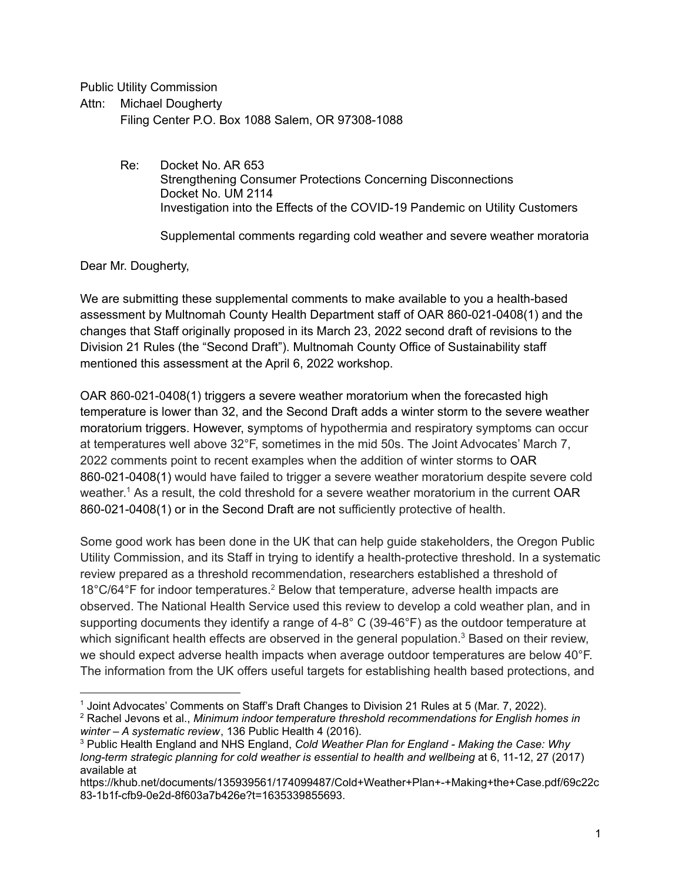Public Utility Commission

Attn: Michael Dougherty

Filing Center P.O. Box 1088 Salem, OR 97308-1088

Re: Docket No. AR 653 Strengthening Consumer Protections Concerning Disconnections Docket No. UM 2114 Investigation into the Effects of the COVID-19 Pandemic on Utility Customers

Supplemental comments regarding cold weather and severe weather moratoria

Dear Mr. Dougherty,

We are submitting these supplemental comments to make available to you a health-based assessment by Multnomah County Health Department staff of OAR 860-021-0408(1) and the changes that Staff originally proposed in its March 23, 2022 second draft of revisions to the Division 21 Rules (the "Second Draft"). Multnomah County Office of Sustainability staff mentioned this assessment at the April 6, 2022 workshop.

OAR 860-021-0408(1) triggers a severe weather moratorium when the forecasted high temperature is lower than 32, and the Second Draft adds a winter storm to the severe weather moratorium triggers. However, symptoms of hypothermia and respiratory symptoms can occur at temperatures well above 32°F, sometimes in the mid 50s. The Joint Advocates' March 7, 2022 comments point to recent examples when the addition of winter storms to OAR 860-021-0408(1) would have failed to trigger a severe weather moratorium despite severe cold weather.<sup>1</sup> As a result, the cold threshold for a severe weather moratorium in the current OAR 860-021-0408(1) or in the Second Draft are not sufficiently protective of health.

Some good work has been done in the UK that can help guide stakeholders, the Oregon Public Utility Commission, and its Staff in trying to identify a health-protective threshold. In a [systematic](https://www.sciencedirect.com/science/article/abs/pii/S0033350616000640) [review](https://www.sciencedirect.com/science/article/abs/pii/S0033350616000640) prepared as a threshold recommendation, researchers established a threshold of 18°C/64°F for indoor temperatures.<sup>2</sup> Below that temperature, adverse health impacts are observed. The National Health Service used this review to develop a cold weather plan, and in supporting [documents](https://khub.net/documents/135939561/174099487/Cold+Weather+Plan+-+Making+the+Case.pdf/69c22c83-1b1f-cfb9-0e2d-8f603a7b426e?t=1635339855693) they identify a range of 4-8 $^{\circ}$  C (39-46 $^{\circ}$ F) as the outdoor temperature at which significant health effects are observed in the general population.<sup>3</sup> Based on their review, we should expect adverse health impacts when average outdoor temperatures are below 40°F. The information from the UK offers useful targets for establishing health based protections, and

<sup>1</sup> Joint Advocates' Comments on Staff's Draft Changes to Division 21 Rules at 5 (Mar. 7, 2022).

<sup>2</sup> Rachel Jevons et al., *Minimum indoor temperature threshold recommendations for English homes in winter – A systematic review*, 136 Public Health 4 (2016).

<sup>3</sup> Public Health England and NHS England, *Cold Weather Plan for England - Making the Case: Why long-term strategic planning for cold weather is essential to health and wellbeing* at 6, 11-12, 27 (2017) available at

https://khub.net/documents/135939561/174099487/Cold+Weather+Plan+-+Making+the+Case.pdf/69c22c 83-1b1f-cfb9-0e2d-8f603a7b426e?t=1635339855693.